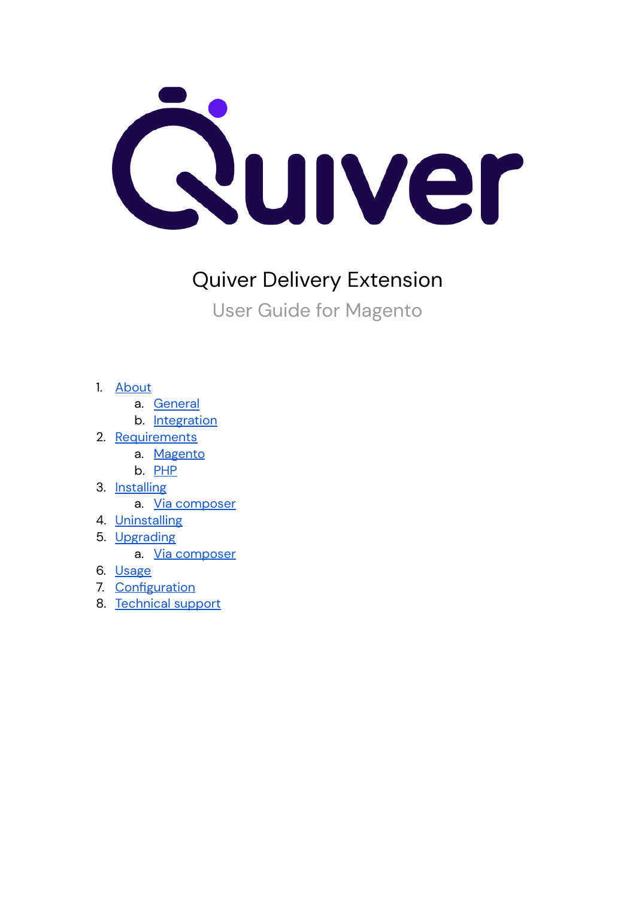

### Quiver Delivery Extension

User Guide for Magento

- 1. [About](#page-1-0)
	- a. [General](#page-1-1)
	- b. [Integration](#page-1-2)
- 2. [Requirements](#page-2-0)
	- a. [Magento](#page-2-1)
	- b. [PHP](#page-2-2)
- 3. [Installing](#page-3-0)
	- a. Via [composer](#page-3-1)
- 4. [Uninstalling](#page-3-2)
- 5. [Upgrading](#page-3-3)
	- a. Via [composer](#page-3-4)
- 6. [Usage](#page-4-0)
- 7. [Configuration](#page-4-1)
- 8. [Technical](#page-5-0) support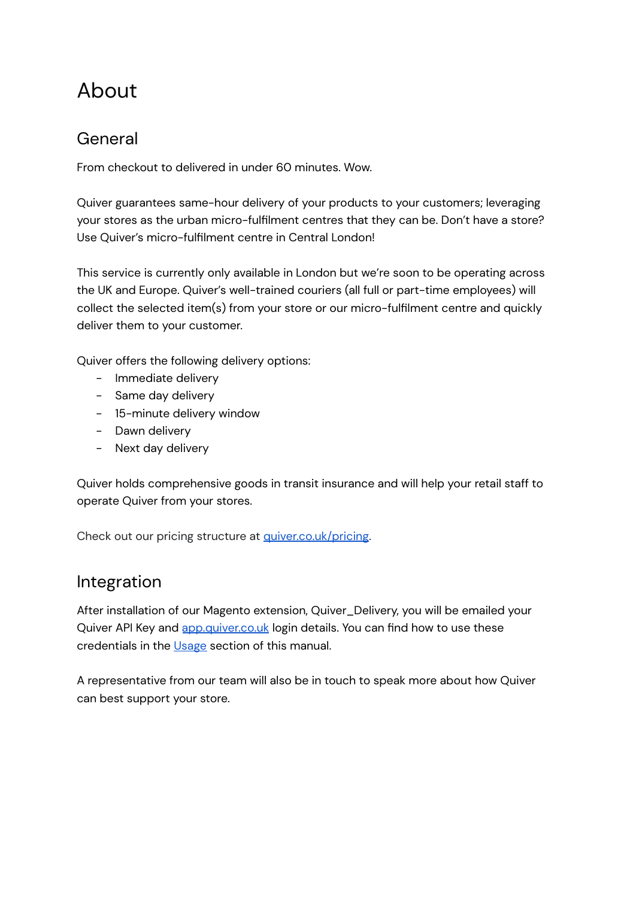## <span id="page-1-0"></span>About

### <span id="page-1-1"></span>General

From checkout to delivered in under 60 minutes. Wow.

Quiver guarantees same-hour delivery of your products to your customers; leveraging your stores as the urban micro-fulfilment centres that they can be. Don't have a store? Use Quiver's micro-fulfilment centre in Central London!

This service is currently only available in London but we're soon to be operating across the UK and Europe. Quiver's well-trained couriers (all full or part-time employees) will collect the selected item(s) from your store or our micro-fulfilment centre and quickly deliver them to your customer.

Quiver offers the following delivery options:

- Immediate delivery
- Same day delivery
- 15-minute delivery window
- Dawn delivery
- Next day delivery

Quiver holds comprehensive goods in transit insurance and will help your retail staff to operate Quiver from your stores.

Check out our pricing structure at [quiver.co.uk/pricing.](https://quiver.co.uk/pricing)

#### <span id="page-1-2"></span>Integration

After installation of our Magento extension, Quiver\_Delivery, you will be emailed your Quiver API Key and [app.quiver.co.uk](https://app.quiver.co.uk) login details. You can find how to use these credentials in the [Usage](#page-3-5) section of this manual.

A representative from our team will also be in touch to speak more about how Quiver can best support your store.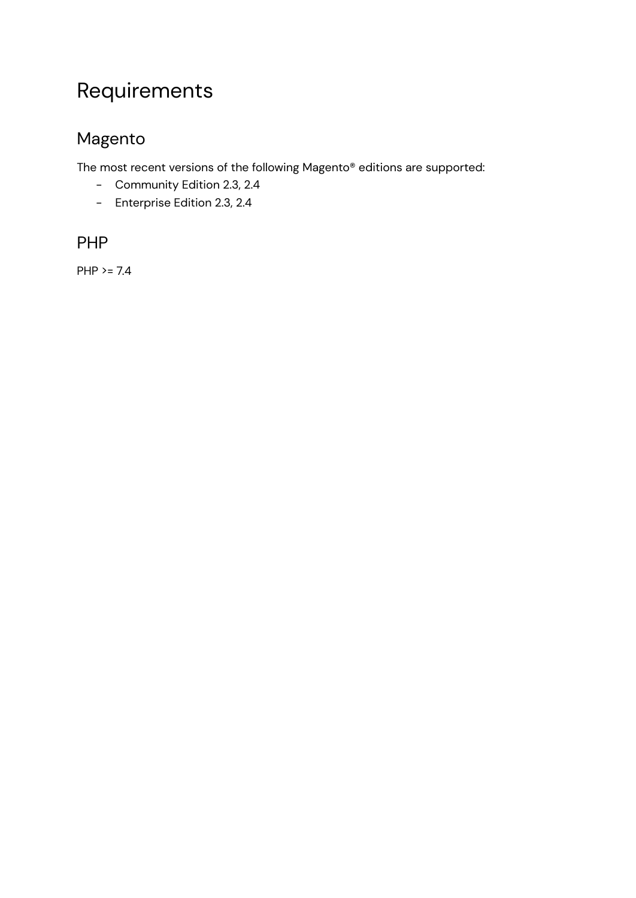## <span id="page-2-0"></span>Requirements

### <span id="page-2-1"></span>Magento

The most recent versions of the following Magento® editions are supported:

- Community Edition 2.3, 2.4
- Enterprise Edition 2.3, 2.4

### <span id="page-2-2"></span>PHP

PHP >= 7.4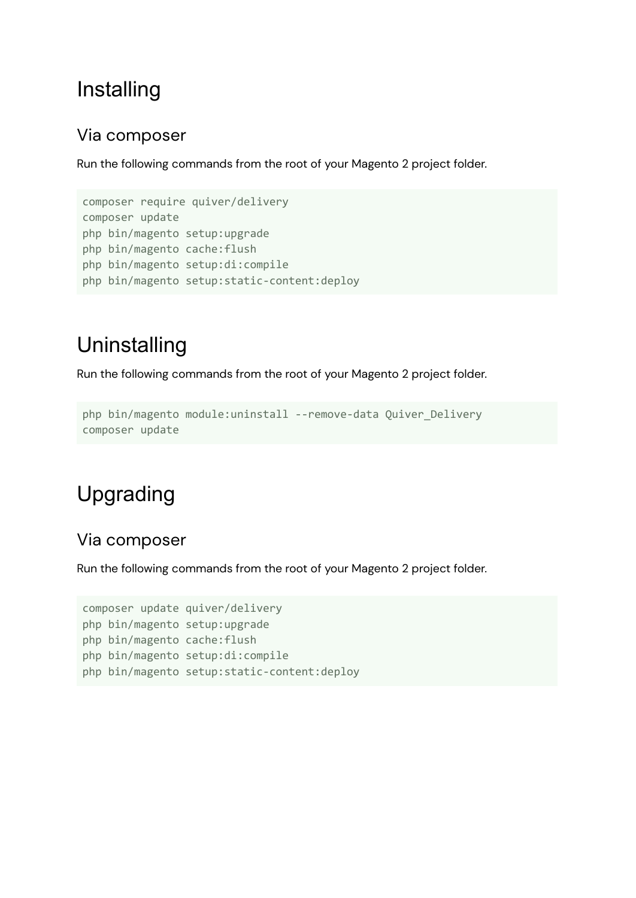## <span id="page-3-0"></span>Installing

#### <span id="page-3-1"></span>Via composer

Run the following commands from the root of your Magento 2 project folder.

```
composer require quiver/delivery
composer update
php bin/magento setup:upgrade
php bin/magento cache:flush
php bin/magento setup:di:compile
php bin/magento setup:static-content:deploy
```
# <span id="page-3-2"></span>Uninstalling

Run the following commands from the root of your Magento 2 project folder.

```
php bin/magento module:uninstall --remove-data Quiver_Delivery
composer update
```
# <span id="page-3-3"></span>Upgrading

#### <span id="page-3-4"></span>Via composer

Run the following commands from the root of your Magento 2 project folder.

```
composer update quiver/delivery
php bin/magento setup:upgrade
php bin/magento cache:flush
php bin/magento setup:di:compile
php bin/magento setup:static-content:deploy
```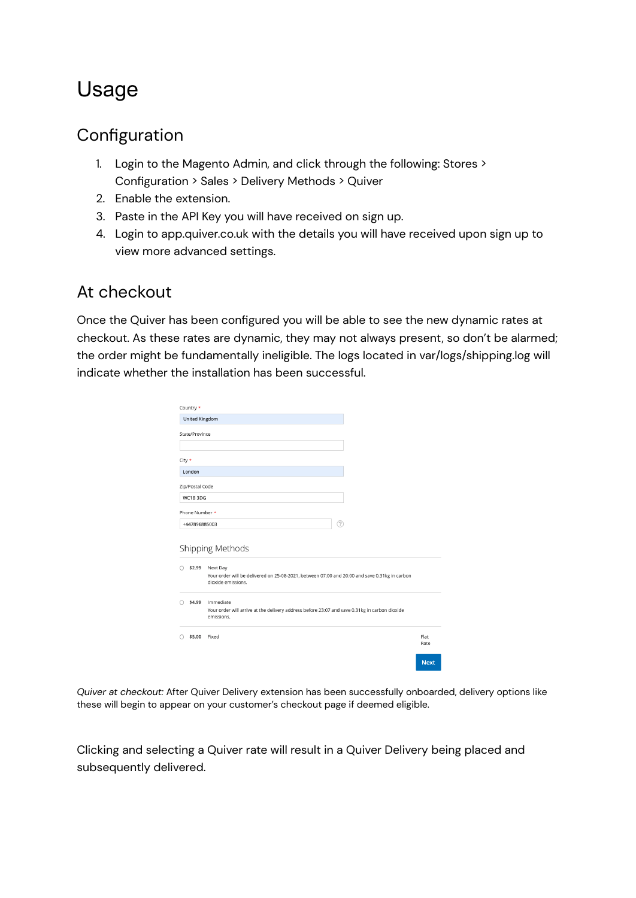## <span id="page-4-0"></span>Usage

### <span id="page-4-1"></span>**Configuration**

- 1. Login to the Magento Admin, and click through the following: Stores > Configuration > Sales > Delivery Methods > Quiver
- 2. Enable the extension.
- 3. Paste in the API Key you will have received on sign up.
- 4. Login to app.quiver.co.uk with the details you will have received upon sign up to view more advanced settings.

#### At checkout

Once the Quiver has been configured you will be able to see the new dynamic rates at checkout. As these rates are dynamic, they may not always present, so don't be alarmed; the order might be fundamentally ineligible. The logs located in var/logs/shipping.log will indicate whether the installation has been successful.

| <b>United Kingdom</b> |                                                                                                                                                     |              |
|-----------------------|-----------------------------------------------------------------------------------------------------------------------------------------------------|--------------|
| State/Province        |                                                                                                                                                     |              |
| City *                |                                                                                                                                                     |              |
| London                |                                                                                                                                                     |              |
| Zip/Postal Code       |                                                                                                                                                     |              |
| WC1B 3DG              |                                                                                                                                                     |              |
| Phone Number *        |                                                                                                                                                     |              |
|                       |                                                                                                                                                     |              |
| +447896885003         | ⊘                                                                                                                                                   |              |
| \$2.99<br>Ω           | Shipping Methods<br>Next Day<br>Your order will be delivered on 25-08-2021, between 07:00 and 20:00 and save 0.31kg in carbon<br>dioxide emissions. |              |
| \$4.99                | Immediate<br>Your order will arrive at the delivery address before 23:07 and save 0.31kg in carbon dioxide<br>emissions.                            |              |
| ∩<br>\$5.00           | Fixed                                                                                                                                               | Flat<br>Rate |

*Quiver at checkout:* After Quiver Delivery extension has been successfully onboarded, delivery options like these will begin to appear on your customer's checkout page if deemed eligible.

Clicking and selecting a Quiver rate will result in a Quiver Delivery being placed and subsequently delivered.